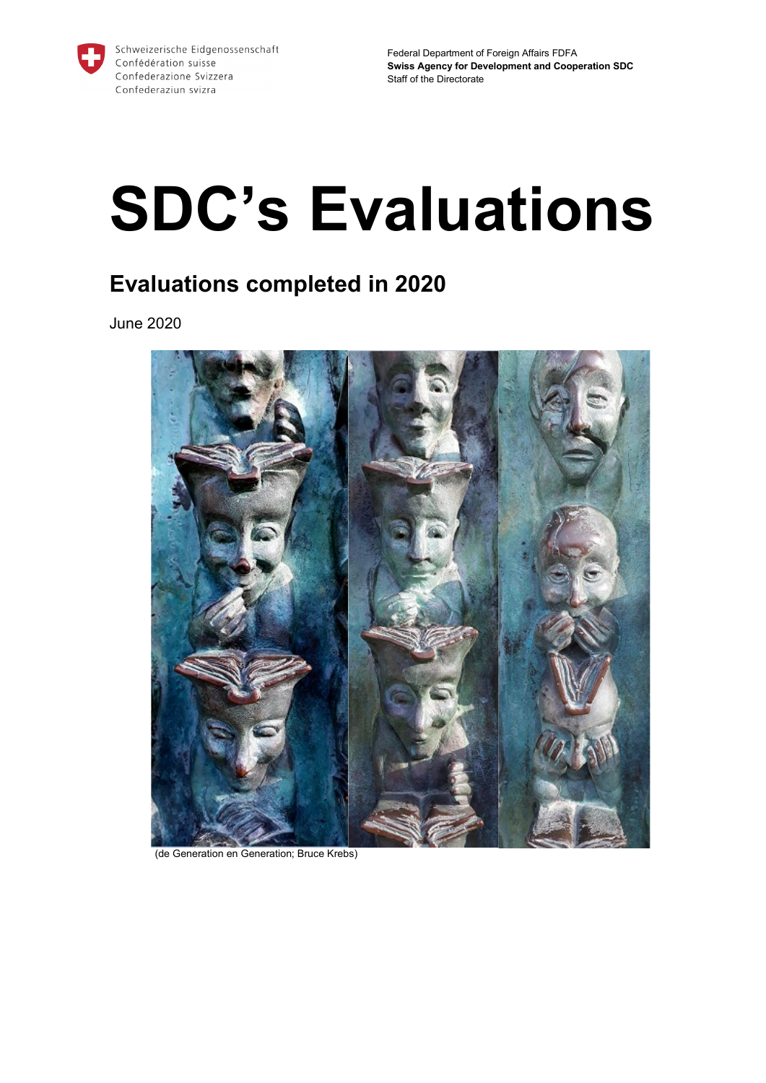

# **SDC's Evaluations**

# **Evaluations completed in 2020**

June 2020



(de Generation en Generation; Bruce Krebs)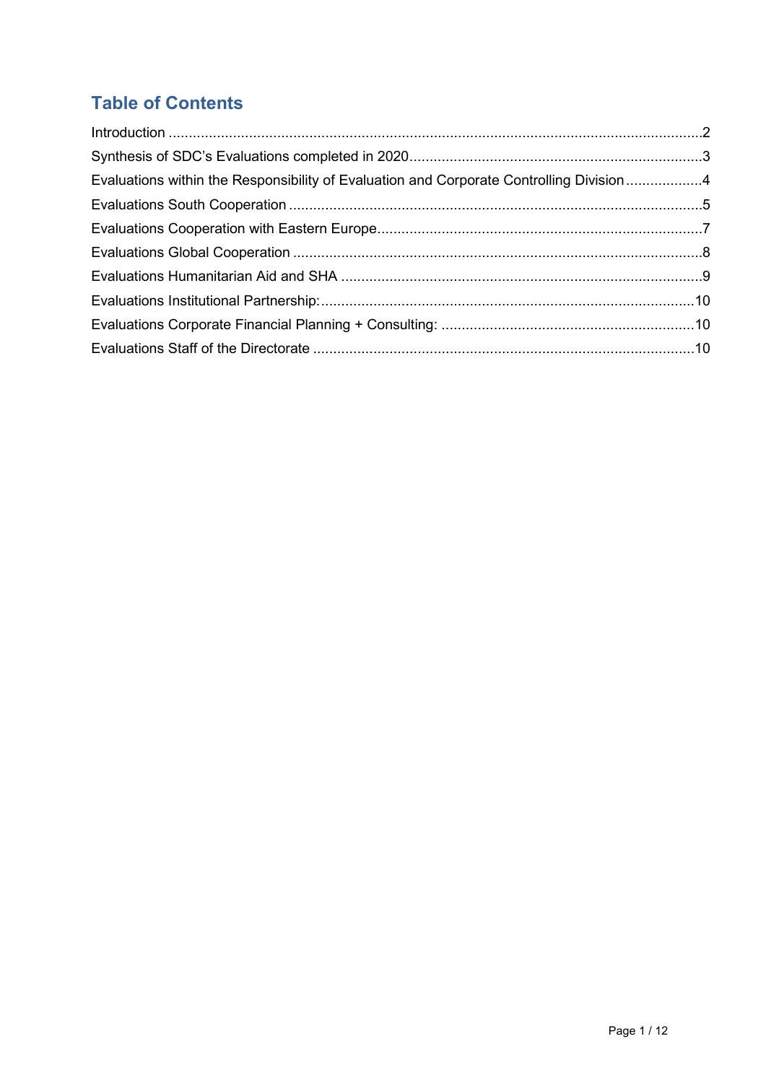# **Table of Contents**

| Evaluations within the Responsibility of Evaluation and Corporate Controlling Division 4 |  |
|------------------------------------------------------------------------------------------|--|
|                                                                                          |  |
|                                                                                          |  |
|                                                                                          |  |
|                                                                                          |  |
|                                                                                          |  |
|                                                                                          |  |
|                                                                                          |  |
|                                                                                          |  |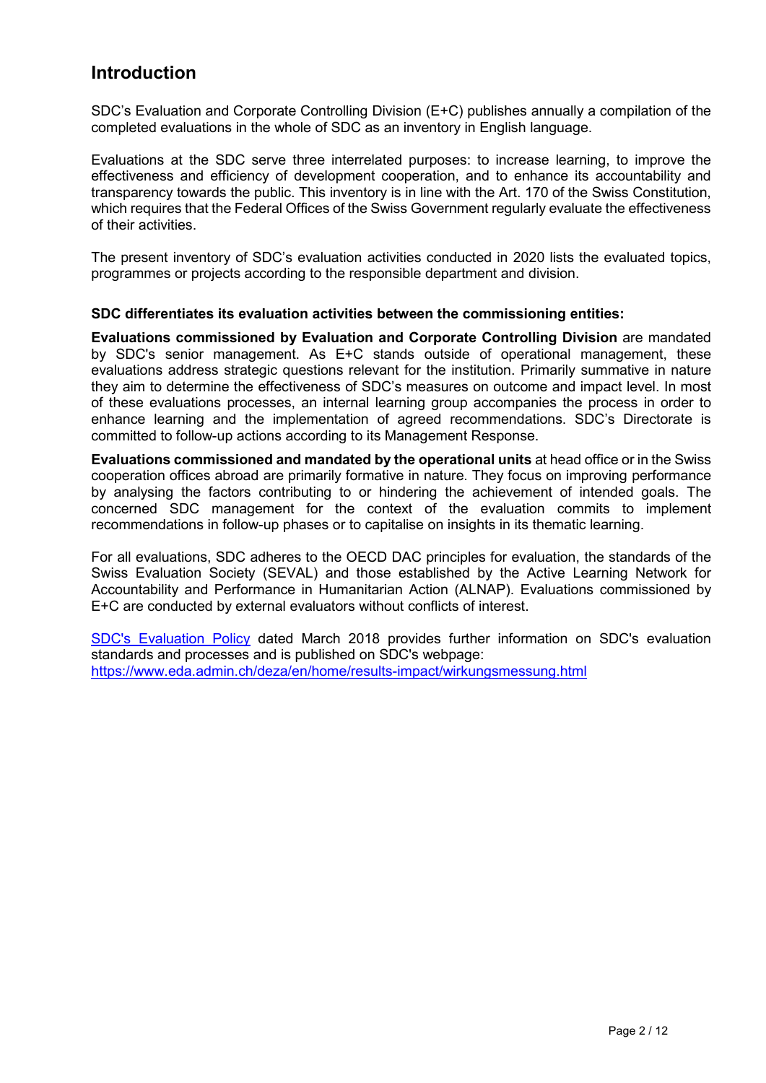## <span id="page-2-0"></span>**Introduction**

SDC's Evaluation and Corporate Controlling Division (E+C) publishes annually a compilation of the completed evaluations in the whole of SDC as an inventory in English language.

Evaluations at the SDC serve three interrelated purposes: to increase learning, to improve the effectiveness and efficiency of development cooperation, and to enhance its accountability and transparency towards the public. This inventory is in line with the Art. 170 of the Swiss Constitution, which requires that the Federal Offices of the Swiss Government regularly evaluate the effectiveness of their activities.

The present inventory of SDC's evaluation activities conducted in 2020 lists the evaluated topics, programmes or projects according to the responsible department and division.

## **SDC differentiates its evaluation activities between the commissioning entities:**

**Evaluations commissioned by Evaluation and Corporate Controlling Division** are mandated by SDC's senior management. As E+C stands outside of operational management, these evaluations address strategic questions relevant for the institution. Primarily summative in nature they aim to determine the effectiveness of SDC's measures on outcome and impact level. In most of these evaluations processes, an internal learning group accompanies the process in order to enhance learning and the implementation of agreed recommendations. SDC's Directorate is committed to follow-up actions according to its Management Response.

**Evaluations commissioned and mandated by the operational units** at head office or in the Swiss cooperation offices abroad are primarily formative in nature. They focus on improving performance by analysing the factors contributing to or hindering the achievement of intended goals. The concerned SDC management for the context of the evaluation commits to implement recommendations in follow-up phases or to capitalise on insights in its thematic learning.

For all evaluations, SDC adheres to the OECD DAC principles for evaluation, the standards of the Swiss Evaluation Society (SEVAL) and those established by the Active Learning Network for Accountability and Performance in Humanitarian Action (ALNAP). Evaluations commissioned by E+C are conducted by external evaluators without conflicts of interest.

[SDC's Evaluation Policy](https://www.eda.admin.ch/dam/deza/en/documents/resultate-wirkung/20180906-evaluationspolitik-maerz-2018_EN.pdf) dated March 2018 provides further information on SDC's evaluation standards and processes and is published on SDC's webpage: <https://www.eda.admin.ch/deza/en/home/results-impact/wirkungsmessung.html>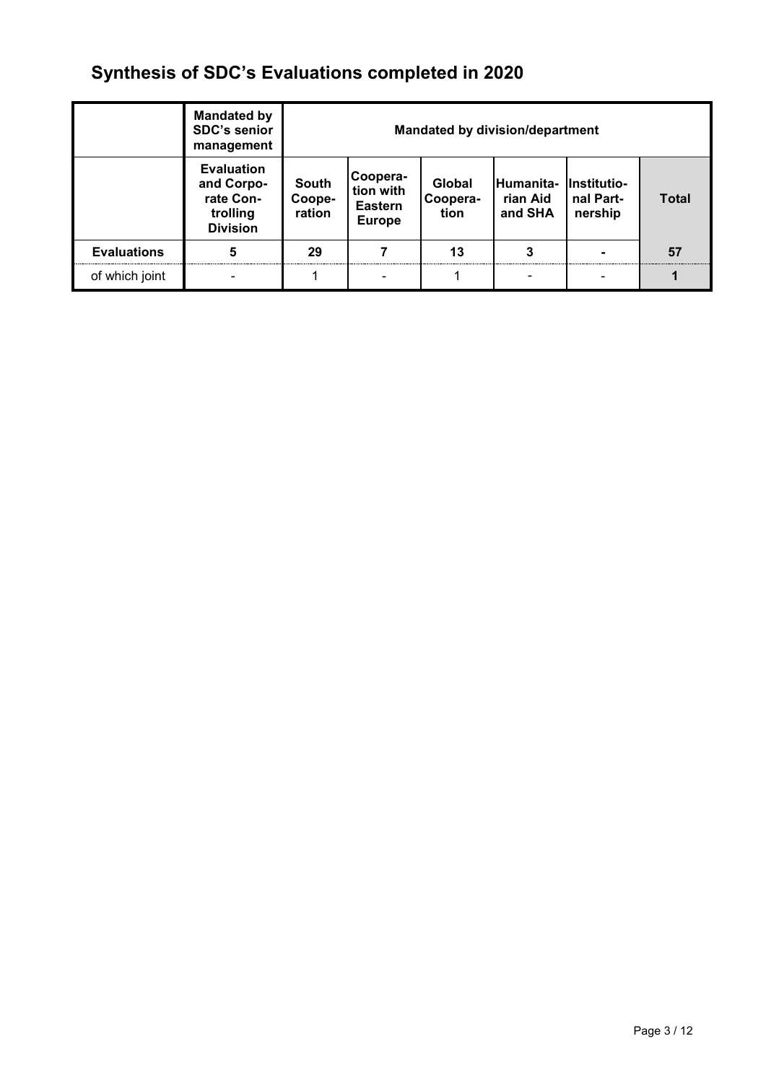# <span id="page-3-0"></span>**Synthesis of SDC's Evaluations completed in 2020**

|                    | <b>Mandated by</b><br><b>SDC's senior</b><br>management                     | <b>Mandated by division/department</b> |                                                          |                            |                                              |                      |              |
|--------------------|-----------------------------------------------------------------------------|----------------------------------------|----------------------------------------------------------|----------------------------|----------------------------------------------|----------------------|--------------|
|                    | <b>Evaluation</b><br>and Corpo-<br>rate Con-<br>trolling<br><b>Division</b> | <b>South</b><br>Coope-<br>ration       | Coopera-<br>tion with<br><b>Eastern</b><br><b>Europe</b> | Global<br>Coopera-<br>tion | Humanita- Institutio-<br>rian Aid<br>and SHA | nal Part-<br>nership | <b>Total</b> |
| <b>Evaluations</b> | 5                                                                           | 29                                     |                                                          | 13                         |                                              |                      | 57           |
| of which joint     |                                                                             |                                        |                                                          |                            |                                              |                      |              |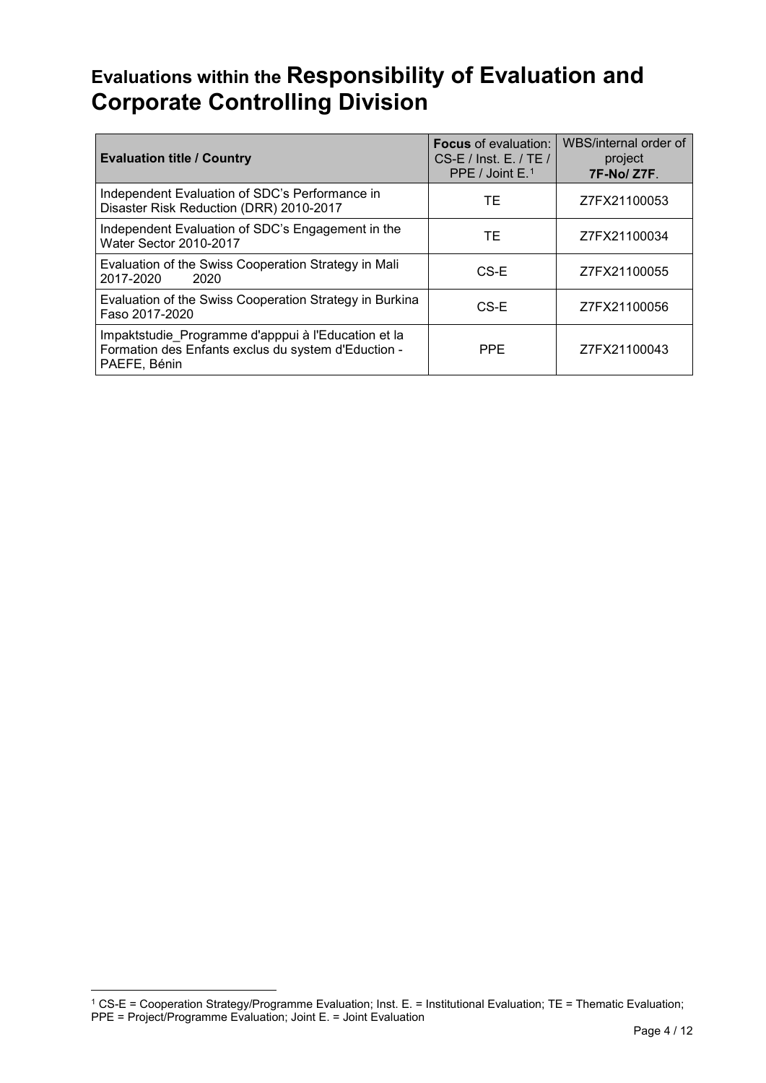# <span id="page-4-0"></span>**Evaluations within the Responsibility of Evaluation and Corporate Controlling Division**

| <b>Evaluation title / Country</b>                                                                                          | <b>Focus</b> of evaluation:<br>$CS-E /$ Inst. E. / TE /<br>PPE / Joint $E1$ | WBS/internal order of<br>project<br><b>7F-No/Z7F.</b> |
|----------------------------------------------------------------------------------------------------------------------------|-----------------------------------------------------------------------------|-------------------------------------------------------|
| Independent Evaluation of SDC's Performance in<br>Disaster Risk Reduction (DRR) 2010-2017                                  | ТE                                                                          | Z7FX21100053                                          |
| Independent Evaluation of SDC's Engagement in the<br><b>Water Sector 2010-2017</b>                                         | ТE                                                                          | Z7FX21100034                                          |
| Evaluation of the Swiss Cooperation Strategy in Mali<br>2017-2020<br>2020                                                  | CS-E                                                                        | Z7FX21100055                                          |
| Evaluation of the Swiss Cooperation Strategy in Burkina<br>Faso 2017-2020                                                  | CS-E                                                                        | Z7FX21100056                                          |
| Impaktstudie Programme d'apppui à l'Education et la<br>Formation des Enfants exclus du system d'Eduction -<br>PAEFE, Bénin | <b>PPE</b>                                                                  | Z7FX21100043                                          |

-

<span id="page-4-1"></span><sup>1</sup> CS-E = Cooperation Strategy/Programme Evaluation; Inst. E. = Institutional Evaluation; TE = Thematic Evaluation; PPE = Project/Programme Evaluation; Joint E. = Joint Evaluation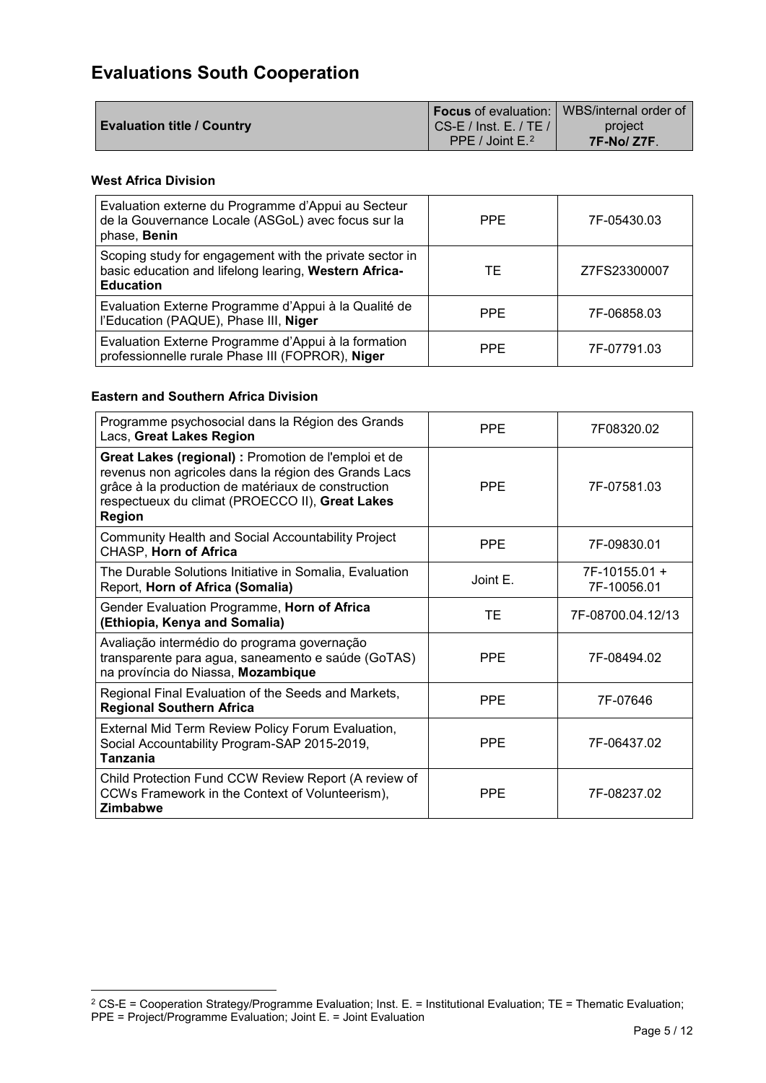# <span id="page-5-0"></span>**Evaluations [South Cooperation](https://www.eda.admin.ch/deza/en/home/sdc/organisation/departments/south-cooperation.html)**

|                                   |                        | <b>I Focus</b> of evaluation:   WBS/internal order of |
|-----------------------------------|------------------------|-------------------------------------------------------|
| <b>Evaluation title / Country</b> | CS-E / Inst. E. / TE / | project                                               |
|                                   | PPE / Joint $E^2$      | $7F-No/Z7F.$                                          |

## **West Africa Division**

-

| Evaluation externe du Programme d'Appui au Secteur<br>de la Gouvernance Locale (ASGoL) avec focus sur la<br>phase, Benin             | <b>PPE</b> | 7F-05430.03  |
|--------------------------------------------------------------------------------------------------------------------------------------|------------|--------------|
| Scoping study for engagement with the private sector in<br>basic education and lifelong learing, Western Africa-<br><b>Education</b> | ТE         | Z7FS23300007 |
| Evaluation Externe Programme d'Appui à la Qualité de<br>l'Education (PAQUE), Phase III, Niger                                        | <b>PPE</b> | 7F-06858.03  |
| Evaluation Externe Programme d'Appui à la formation<br>professionnelle rurale Phase III (FOPROR), Niger                              | <b>PPF</b> | 7F-07791.03  |

## **Eastern and Southern Africa Division**

| Programme psychosocial dans la Région des Grands<br>Lacs, Great Lakes Region                                                                                                                                                           | <b>PPE</b> | 7F08320.02                   |
|----------------------------------------------------------------------------------------------------------------------------------------------------------------------------------------------------------------------------------------|------------|------------------------------|
| Great Lakes (regional) : Promotion de l'emploi et de<br>revenus non agricoles dans la région des Grands Lacs<br>grâce à la production de matériaux de construction<br>respectueux du climat (PROECCO II), Great Lakes<br><b>Region</b> | <b>PPE</b> | 7F-07581.03                  |
| Community Health and Social Accountability Project<br>CHASP, Horn of Africa                                                                                                                                                            | <b>PPE</b> | 7F-09830.01                  |
| The Durable Solutions Initiative in Somalia, Evaluation<br>Report, Horn of Africa (Somalia)                                                                                                                                            | Joint E    | 7F-10155.01 +<br>7F-10056.01 |
| Gender Evaluation Programme, Horn of Africa<br>(Ethiopia, Kenya and Somalia)                                                                                                                                                           | ТE         | 7F-08700.04.12/13            |
| Avaliação intermédio do programa governação<br>transparente para agua, saneamento e saúde (GoTAS)<br>na província do Niassa, Mozambique                                                                                                | <b>PPE</b> | 7F-08494.02                  |
| Regional Final Evaluation of the Seeds and Markets,<br><b>Regional Southern Africa</b>                                                                                                                                                 | <b>PPE</b> | 7F-07646                     |
| External Mid Term Review Policy Forum Evaluation,<br>Social Accountability Program-SAP 2015-2019,<br>Tanzania                                                                                                                          | <b>PPE</b> | 7F-06437.02                  |
| Child Protection Fund CCW Review Report (A review of<br>CCWs Framework in the Context of Volunteerism),<br><b>Zimbabwe</b>                                                                                                             | <b>PPE</b> | 7F-08237.02                  |

<span id="page-5-1"></span><sup>&</sup>lt;sup>2</sup> CS-E = Cooperation Strategy/Programme Evaluation; Inst. E. = Institutional Evaluation; TE = Thematic Evaluation; PPE = Project/Programme Evaluation; Joint E. = Joint Evaluation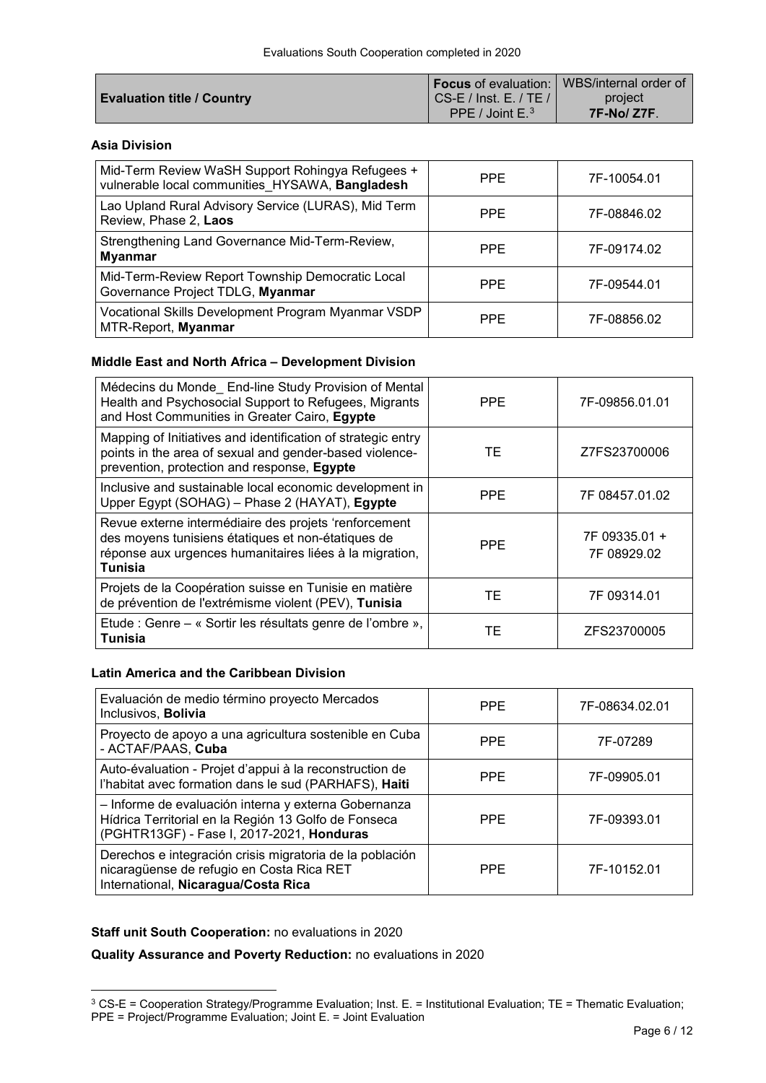|                                   |                                | <b>If ocus</b> of evaluation:   WBS/internal order of |
|-----------------------------------|--------------------------------|-------------------------------------------------------|
| <b>Evaluation title / Country</b> | $\vert$ CS-E / Inst. E. / TE / | project                                               |
|                                   | PPE / Joint $E^3$              | <b>7F-No/Z7F.</b>                                     |

## **Asia Division**

| Mid-Term Review WaSH Support Rohingya Refugees +<br>vulnerable local communities HYSAWA, Bangladesh | <b>PPE</b> | 7F-10054.01 |
|-----------------------------------------------------------------------------------------------------|------------|-------------|
| Lao Upland Rural Advisory Service (LURAS), Mid Term<br>Review, Phase 2, Laos                        | <b>PPE</b> | 7F-08846.02 |
| Strengthening Land Governance Mid-Term-Review,<br><b>Myanmar</b>                                    | <b>PPE</b> | 7F-09174.02 |
| Mid-Term-Review Report Township Democratic Local<br>Governance Project TDLG, Myanmar                | <b>PPE</b> | 7F-09544.01 |
| Vocational Skills Development Program Myanmar VSDP<br>MTR-Report, Myanmar                           | <b>PPE</b> | 7F-08856.02 |

## **Middle East and North Africa – Development Division**

| Médecins du Monde_ End-line Study Provision of Mental<br>Health and Psychosocial Support to Refugees, Migrants<br>and Host Communities in Greater Cairo, Egypte                          | <b>PPE</b> | 7F-09856.01.01               |
|------------------------------------------------------------------------------------------------------------------------------------------------------------------------------------------|------------|------------------------------|
| Mapping of Initiatives and identification of strategic entry<br>points in the area of sexual and gender-based violence-<br>prevention, protection and response, Egypte                   | TЕ         | Z7FS23700006                 |
| Inclusive and sustainable local economic development in<br>Upper Egypt (SOHAG) - Phase 2 (HAYAT), Egypte                                                                                 | <b>PPE</b> | 7F 08457.01.02               |
| Revue externe intermédiaire des projets 'renforcement<br>des moyens tunisiens étatiques et non-étatiques de<br>réponse aux urgences humanitaires liées à la migration,<br><b>Tunisia</b> | <b>PPE</b> | 7F 09335.01 +<br>7F 08929.02 |
| Projets de la Coopération suisse en Tunisie en matière<br>de prévention de l'extrémisme violent (PEV), Tunisia                                                                           | TЕ         | 7F 09314.01                  |
| Etude : Genre – « Sortir les résultats genre de l'ombre »,<br>Tunisia                                                                                                                    | TЕ         | ZFS23700005                  |

## **Latin America and the Caribbean Division**

| Evaluación de medio término proyecto Mercados<br>Inclusivos, Bolivia                                                                                      | <b>PPE</b> | 7F-08634.02.01 |
|-----------------------------------------------------------------------------------------------------------------------------------------------------------|------------|----------------|
| Proyecto de apoyo a una agricultura sostenible en Cuba<br>- ACTAF/PAAS, Cuba                                                                              | <b>PPE</b> | 7F-07289       |
| Auto-évaluation - Projet d'appui à la reconstruction de<br>l'habitat avec formation dans le sud (PARHAFS), Haiti                                          | <b>PPE</b> | 7F-09905.01    |
| - Informe de evaluación interna y externa Gobernanza<br>Hídrica Territorial en la Región 13 Golfo de Fonseca<br>(PGHTR13GF) - Fase I, 2017-2021, Honduras | <b>PPF</b> | 7F-09393.01    |
| Derechos e integración crisis migratoria de la población<br>nicaragüense de refugio en Costa Rica RET<br>International, Nicaragua/Costa Rica              | <b>PPE</b> | 7F-10152.01    |

## **[Staff unit South](http://www.deza.admin.ch/en/Home/About_SDC/Organisation/Regional_Cooperation/Staff_unit_Regional_Cooperation) Cooperation:** no evaluations in 2020

-

**Quality Assurance and Poverty Reduction:** no evaluations in 2020

<span id="page-6-0"></span> $3$  CS-E = Cooperation Strategy/Programme Evaluation; Inst. E. = Institutional Evaluation; TE = Thematic Evaluation; PPE = Project/Programme Evaluation; Joint E. = Joint Evaluation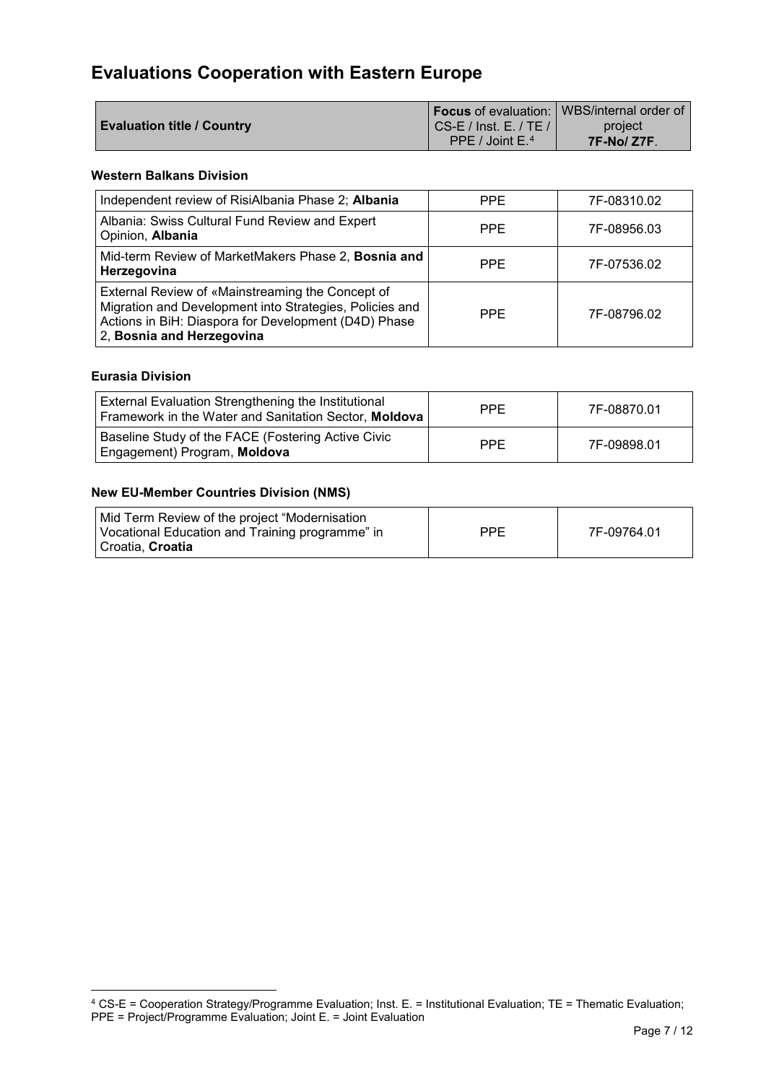# <span id="page-7-0"></span>**Evaluations [Cooperation with Eastern Europe](https://www.eda.admin.ch/deza/en/home/sdc/organisation/departments/south-cooperation.html)**

|                                   |                                       | <b>I</b> Focus of evaluation: WBS/internal order of |
|-----------------------------------|---------------------------------------|-----------------------------------------------------|
| <b>Evaluation title / Country</b> | $\overline{C}$ CS-E / Inst. E. / TE / | project                                             |
|                                   | PPE / Joint $E^4$                     | 7F-No/Z7F                                           |

## **Western Balkans Division**

| Independent review of RisiAlbania Phase 2; Albania                                                                                                                                               | <b>PPE</b> | 7F-08310.02 |
|--------------------------------------------------------------------------------------------------------------------------------------------------------------------------------------------------|------------|-------------|
| Albania: Swiss Cultural Fund Review and Expert<br>Opinion, Albania                                                                                                                               | <b>PPE</b> | 7F-08956.03 |
| Mid-term Review of MarketMakers Phase 2, Bosnia and<br>Herzegovina                                                                                                                               | <b>PPE</b> | 7F-07536.02 |
| External Review of «Mainstreaming the Concept of<br>Migration and Development into Strategies, Policies and<br>Actions in BiH: Diaspora for Development (D4D) Phase<br>2, Bosnia and Herzegovina | <b>PPE</b> | 7F-08796.02 |

## **Eurasia Division**

-

| External Evaluation Strengthening the Institutional<br>Framework in the Water and Sanitation Sector, Moldova | PPE.       | 7F-08870.01 |
|--------------------------------------------------------------------------------------------------------------|------------|-------------|
| Baseline Study of the FACE (Fostering Active Civic<br>Engagement) Program, Moldova                           | <b>PPE</b> | 7F-09898.01 |

#### **New EU-Member Countries Division (NMS)**

| Mid Term Review of the project "Modernisation<br>Vocational Education and Training programme" in | <b>PPE</b> | 7F-09764.01 |
|--------------------------------------------------------------------------------------------------|------------|-------------|
| l Croatia. <b>Croatia</b>                                                                        |            |             |

<span id="page-7-1"></span> $4$  CS-E = Cooperation Strategy/Programme Evaluation; Inst. E. = Institutional Evaluation; TE = Thematic Evaluation; PPE = Project/Programme Evaluation; Joint E. = Joint Evaluation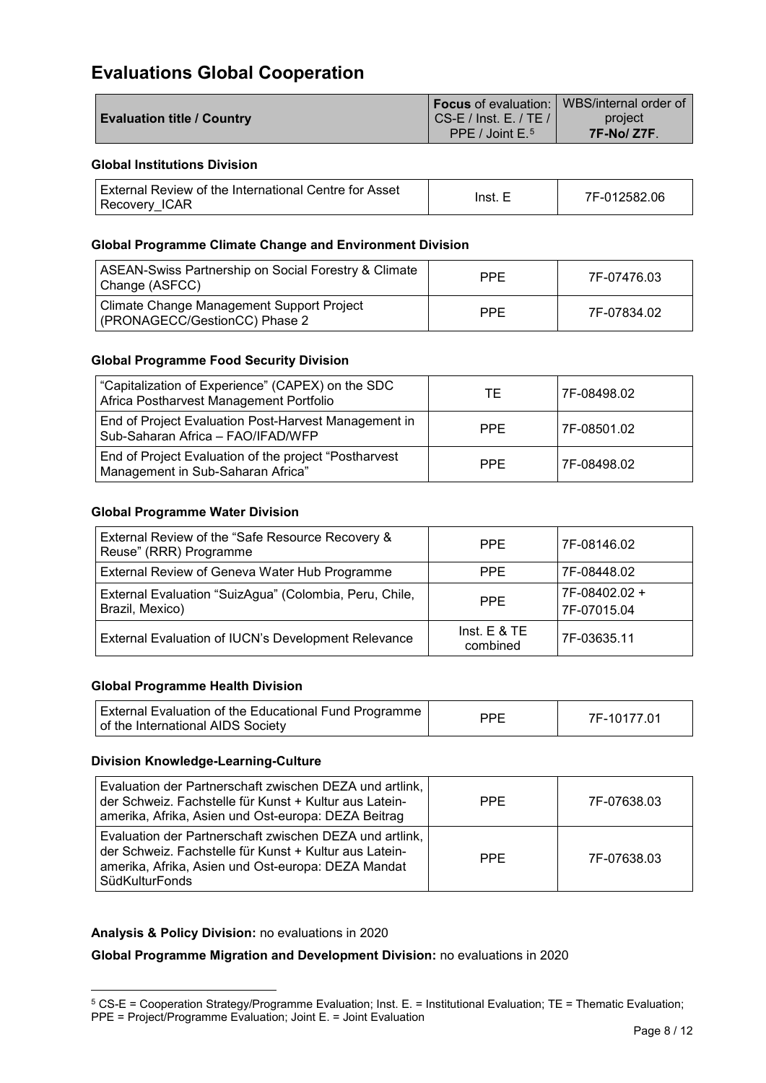## <span id="page-8-0"></span>**Evaluations Global Cooperation**

|                                   |                               | <b>I Focus</b> of evaluation:   WBS/internal order of |
|-----------------------------------|-------------------------------|-------------------------------------------------------|
| <b>Evaluation title / Country</b> | $\mid$ CS-E / Inst. E. / TE / | project                                               |
|                                   | PPE / Joint $E^{5}$           | <b>7F-No/Z7F.</b>                                     |

## **Global Institutions Division**

| External Review of the International Centre for Asset | Inst. | 7F-012582.06 |
|-------------------------------------------------------|-------|--------------|
| Recovery ICAR                                         |       |              |

## **Global Programme Climate Change and Environment Division**

| ASEAN-Swiss Partnership on Social Forestry & Climate<br>Change (ASFCC)     | <b>PPF</b> | 7F-07476.03 |
|----------------------------------------------------------------------------|------------|-------------|
| Climate Change Management Support Project<br>(PRONAGECC/GestionCC) Phase 2 | <b>PPF</b> | 7F-07834.02 |

## **Global Programme Food Security Division**

| "Capitalization of Experience" (CAPEX) on the SDC<br>Africa Postharvest Management Portfolio | ТE   | 7F-08498.02 |
|----------------------------------------------------------------------------------------------|------|-------------|
| End of Project Evaluation Post-Harvest Management in<br>Sub-Saharan Africa - FAO/IFAD/WFP    | PPF. | 7F-08501.02 |
| End of Project Evaluation of the project "Postharvest"<br>Management in Sub-Saharan Africa"  | PPF. | 7F-08498.02 |

#### **Global Programme Water Division**

| External Review of the "Safe Resource Recovery &<br>Reuse" (RRR) Programme | <b>PPE</b>                 | 7F-08146.02                  |
|----------------------------------------------------------------------------|----------------------------|------------------------------|
| External Review of Geneva Water Hub Programme                              | PPE                        | 7F-08448.02                  |
| External Evaluation "SuizAgua" (Colombia, Peru, Chile,<br>Brazil, Mexico)  | PPE.                       | 7F-08402.02 +<br>7F-07015.04 |
| External Evaluation of IUCN's Development Relevance                        | Inst. $E$ & TE<br>combined | 7F-03635.11                  |

## **Global Programme Health Division**

| External Evaluation of the Educational Fund Programme | DDE | 7F-10177.01 |
|-------------------------------------------------------|-----|-------------|
| of the International AIDS Society                     |     |             |

#### **Division Knowledge-Learning-Culture**

| Evaluation der Partnerschaft zwischen DEZA und artlink,<br>der Schweiz. Fachstelle für Kunst + Kultur aus Latein-<br>amerika, Afrika, Asien und Ost-europa: DEZA Beitrag                         | <b>PPE</b> | 7F-07638.03 |
|--------------------------------------------------------------------------------------------------------------------------------------------------------------------------------------------------|------------|-------------|
| Evaluation der Partnerschaft zwischen DEZA und artlink,<br>der Schweiz. Fachstelle für Kunst + Kultur aus Latein-<br>amerika, Afrika, Asien und Ost-europa: DEZA Mandat<br><b>SüdKulturFonds</b> | <b>PPE</b> | 7F-07638.03 |

## **Analysis & Policy Division:** no evaluations in 2020

-

**Global Programme Migration and Development Division:** no evaluations in 2020

<span id="page-8-1"></span><sup>5</sup> CS-E = Cooperation Strategy/Programme Evaluation; Inst. E. = Institutional Evaluation; TE = Thematic Evaluation; PPE = Project/Programme Evaluation; Joint E. = Joint Evaluation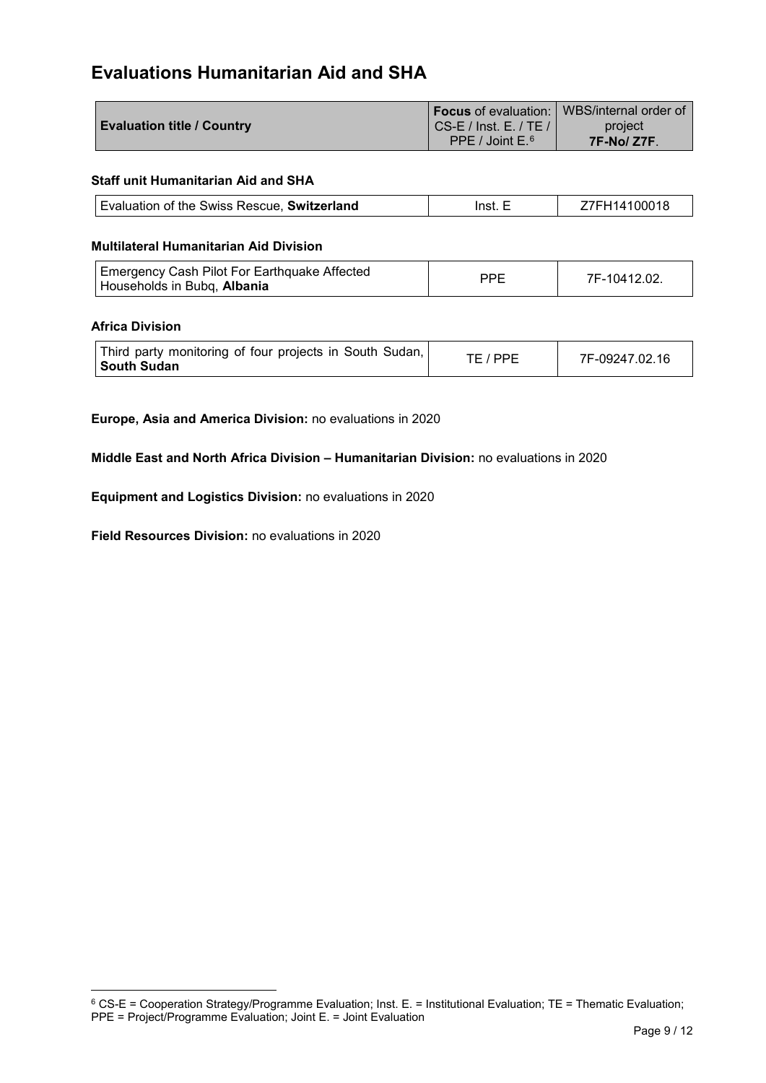## <span id="page-9-0"></span>**Evaluations Humanitarian Aid and SHA**

|                                   |                                       | <b>If Focus</b> of evaluation:   WBS/internal order of |
|-----------------------------------|---------------------------------------|--------------------------------------------------------|
| <b>Evaluation title / Country</b> | $\overline{C}$ CS-E / Inst. E. / TE / | project                                                |
|                                   | PPE / Joint $E^{6}$                   | <b>7F-No/Z7F.</b>                                      |

## **Staff unit Humanitarian Aid and SHA**

| Evaluation of the Swiss Rescue, Switzerland | Inet | $1410001$ <sup>-</sup> |
|---------------------------------------------|------|------------------------|
|---------------------------------------------|------|------------------------|

#### **Multilateral Humanitarian Aid Division**

| PPF<br>7F-10412.02.<br>Households in Bubq, Albania |
|----------------------------------------------------|
|----------------------------------------------------|

#### **Africa Division**

-

| Third party monitoring of four projects in South Sudan,<br><b>South Sudan</b> | TE / PPE | 7F-09247.02.16 |
|-------------------------------------------------------------------------------|----------|----------------|
|-------------------------------------------------------------------------------|----------|----------------|

**Europe, Asia and America Division:** no evaluations in 2020

**Middle East and North Africa Division – Humanitarian Division:** no evaluations in 2020

**[Equipment and Logistics](http://www.deza.admin.ch/en/Home/About_SDC/Organisation/Humanitarian_Aid_and_SHA/Equipment_and_logistics) Division:** no evaluations in 2020

**Field [Resources](http://www.deza.admin.ch/en/Home/About_SDC/Organisation/Humanitarian_Aid_and_SHA/Resources_field) Division:** no evaluations in 2020

<span id="page-9-1"></span> $6$  CS-E = Cooperation Strategy/Programme Evaluation; Inst. E. = Institutional Evaluation; TE = Thematic Evaluation; PPE = Project/Programme Evaluation; Joint E. = Joint Evaluation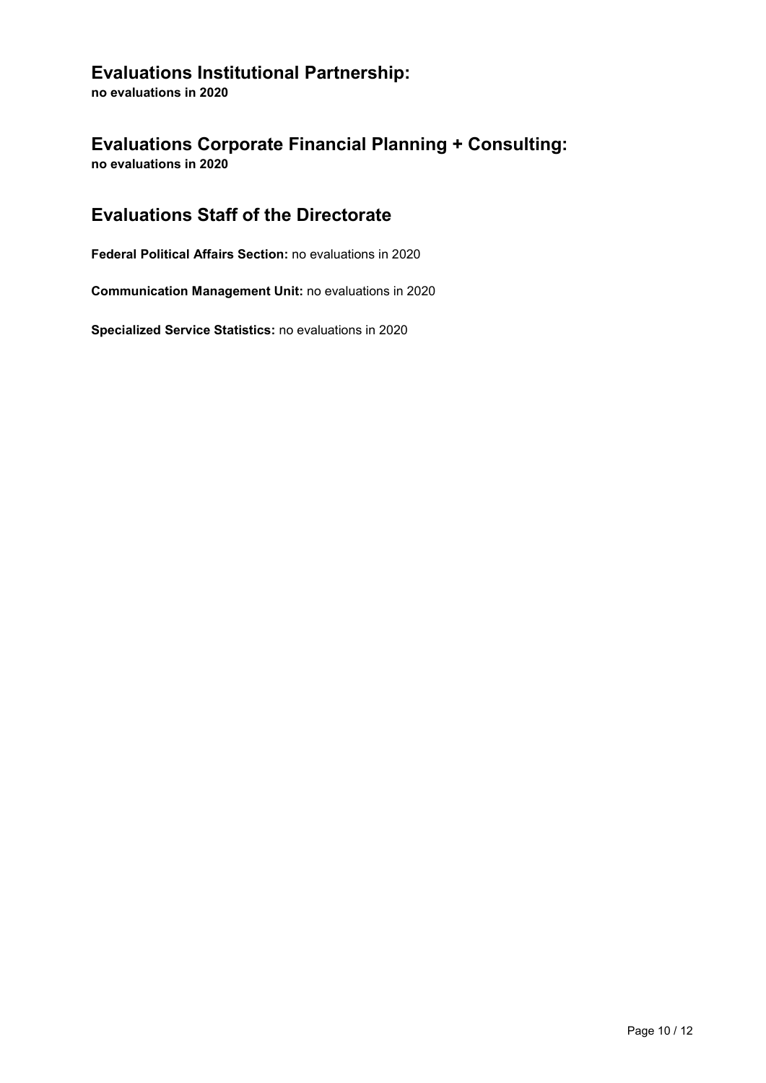## <span id="page-10-0"></span>**Evaluations Institutional Partnership:**

**no evaluations in 2020**

## <span id="page-10-1"></span>**Evaluations Corporate Financial Planning + Consulting: no evaluations in 2020**

## <span id="page-10-2"></span>**Evaluations Staff of the Directorate**

**Federal Political Affairs Section:** no evaluations in 2020

**[Communication Management Unit:](http://www.deza.admin.ch/en/Home/About_SDC/Organisation/Staff_of_the_Directorate/Communication_Management_Unit) no evaluations in 2020** 

**Specialized Service Statistics:** no evaluations in 2020